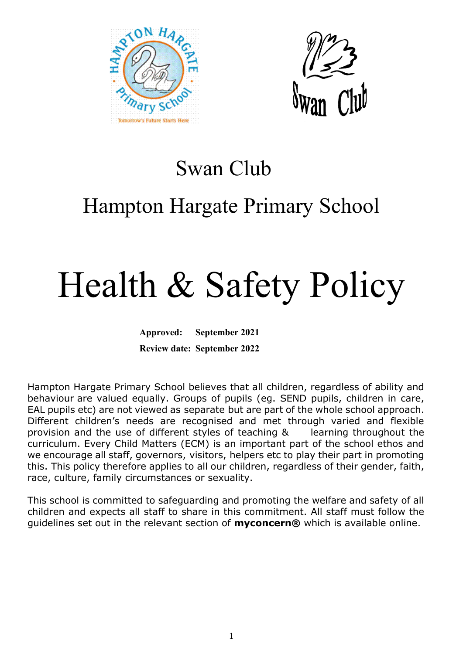



### Swan Club

## Hampton Hargate Primary School

# Health & Safety Policy

**Approved: September 2021 Review date: September 2022**

Hampton Hargate Primary School believes that all children, regardless of ability and behaviour are valued equally. Groups of pupils (eg. SEND pupils, children in care, EAL pupils etc) are not viewed as separate but are part of the whole school approach. Different children's needs are recognised and met through varied and flexible provision and the use of different styles of teaching & learning throughout the curriculum. Every Child Matters (ECM) is an important part of the school ethos and we encourage all staff, governors, visitors, helpers etc to play their part in promoting this. This policy therefore applies to all our children, regardless of their gender, faith, race, culture, family circumstances or sexuality.

This school is committed to safeguarding and promoting the welfare and safety of all children and expects all staff to share in this commitment. All staff must follow the guidelines set out in the relevant section of **myconcern®** which is available online.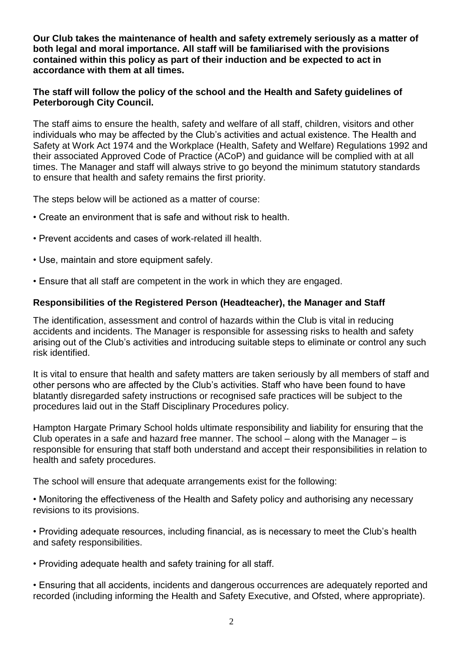**Our Club takes the maintenance of health and safety extremely seriously as a matter of both legal and moral importance. All staff will be familiarised with the provisions contained within this policy as part of their induction and be expected to act in accordance with them at all times.**

#### **The staff will follow the policy of the school and the Health and Safety guidelines of Peterborough City Council.**

The staff aims to ensure the health, safety and welfare of all staff, children, visitors and other individuals who may be affected by the Club's activities and actual existence. The Health and Safety at Work Act 1974 and the Workplace (Health, Safety and Welfare) Regulations 1992 and their associated Approved Code of Practice (ACoP) and guidance will be complied with at all times. The Manager and staff will always strive to go beyond the minimum statutory standards to ensure that health and safety remains the first priority.

The steps below will be actioned as a matter of course:

- Create an environment that is safe and without risk to health.
- Prevent accidents and cases of work-related ill health.
- Use, maintain and store equipment safely.
- Ensure that all staff are competent in the work in which they are engaged.

#### **Responsibilities of the Registered Person (Headteacher), the Manager and Staff**

The identification, assessment and control of hazards within the Club is vital in reducing accidents and incidents. The Manager is responsible for assessing risks to health and safety arising out of the Club's activities and introducing suitable steps to eliminate or control any such risk identified.

It is vital to ensure that health and safety matters are taken seriously by all members of staff and other persons who are affected by the Club's activities. Staff who have been found to have blatantly disregarded safety instructions or recognised safe practices will be subject to the procedures laid out in the Staff Disciplinary Procedures policy.

Hampton Hargate Primary School holds ultimate responsibility and liability for ensuring that the Club operates in a safe and hazard free manner. The school  $-$  along with the Manager  $-$  is responsible for ensuring that staff both understand and accept their responsibilities in relation to health and safety procedures.

The school will ensure that adequate arrangements exist for the following:

• Monitoring the effectiveness of the Health and Safety policy and authorising any necessary revisions to its provisions.

• Providing adequate resources, including financial, as is necessary to meet the Club's health and safety responsibilities.

• Providing adequate health and safety training for all staff.

• Ensuring that all accidents, incidents and dangerous occurrences are adequately reported and recorded (including informing the Health and Safety Executive, and Ofsted, where appropriate).